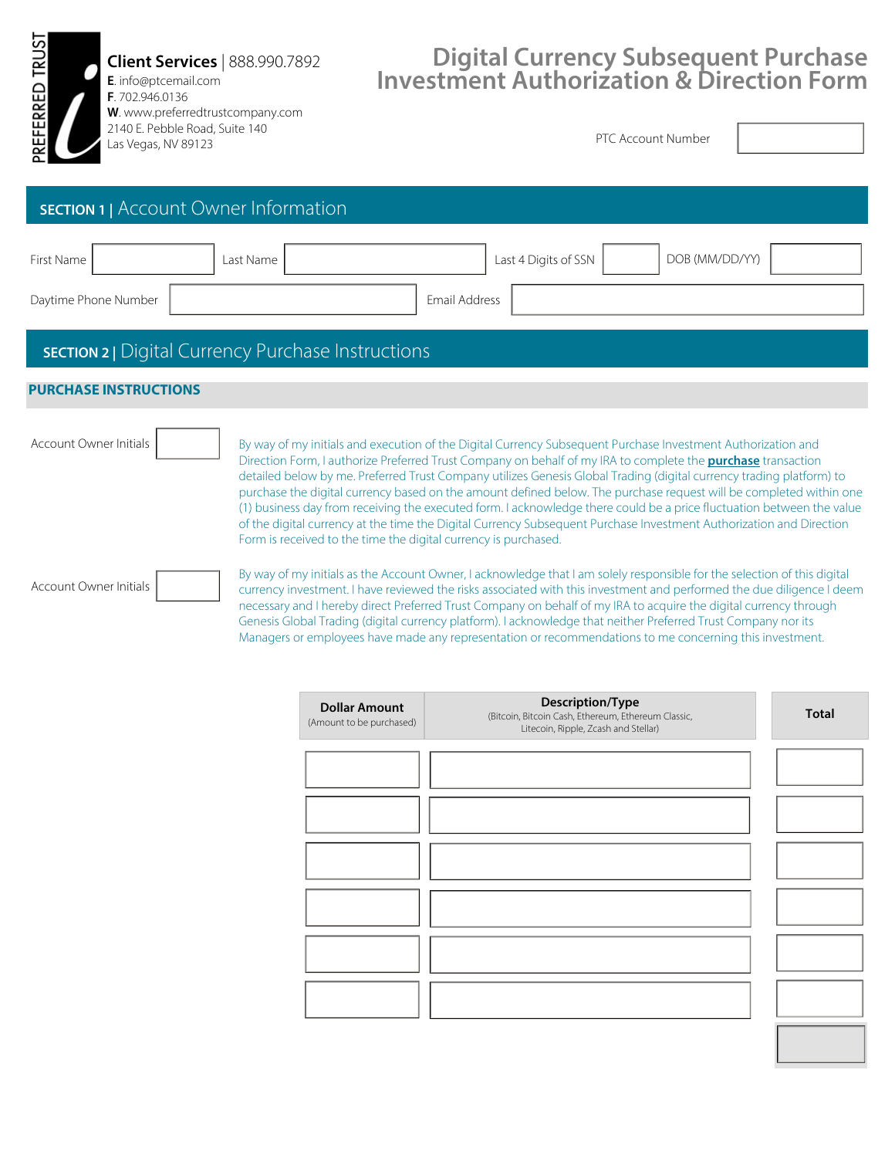**Client Services** | 888.990.7892 **E**. info@ptcemail.com **F**. 702.946.0136 **W**. www.preferredtrustcompany.com

2140 E. Pebble Road, Suite 140

FERRED TRUST

## **Digital Currency Subsequent Purchase Investment Authorization & Direction Form**

| 2140 E. Peddle Road, Suite 140<br>岀<br>Las Vegas, NV 89123 |                                                                                                                                                                                                                                                                                                                                                                                                                                                                                                                                                                                                                                                                                                                                                                                                      | PTC Account Number |  |
|------------------------------------------------------------|------------------------------------------------------------------------------------------------------------------------------------------------------------------------------------------------------------------------------------------------------------------------------------------------------------------------------------------------------------------------------------------------------------------------------------------------------------------------------------------------------------------------------------------------------------------------------------------------------------------------------------------------------------------------------------------------------------------------------------------------------------------------------------------------------|--------------------|--|
| <b>SECTION 1</b>   Account Owner Information               |                                                                                                                                                                                                                                                                                                                                                                                                                                                                                                                                                                                                                                                                                                                                                                                                      |                    |  |
| First Name<br>Daytime Phone Number                         | Last 4 Digits of SSN<br>Last Name<br>Email Address                                                                                                                                                                                                                                                                                                                                                                                                                                                                                                                                                                                                                                                                                                                                                   | DOB (MM/DD/YY)     |  |
| <b>SECTION 2</b>   Digital Currency Purchase Instructions  |                                                                                                                                                                                                                                                                                                                                                                                                                                                                                                                                                                                                                                                                                                                                                                                                      |                    |  |
| <b>PURCHASE INSTRUCTIONS</b>                               |                                                                                                                                                                                                                                                                                                                                                                                                                                                                                                                                                                                                                                                                                                                                                                                                      |                    |  |
| <b>Account Owner Initials</b>                              | By way of my initials and execution of the Digital Currency Subsequent Purchase Investment Authorization and<br>Direction Form, I authorize Preferred Trust Company on behalf of my IRA to complete the <b>purchase</b> transaction<br>detailed below by me. Preferred Trust Company utilizes Genesis Global Trading (digital currency trading platform) to<br>purchase the digital currency based on the amount defined below. The purchase request will be completed within one<br>(1) business day from receiving the executed form. I acknowledge there could be a price fluctuation between the value<br>of the digital currency at the time the Digital Currency Subsequent Purchase Investment Authorization and Direction<br>Form is received to the time the digital currency is purchased. |                    |  |
| Account Owner Initials                                     | By way of my initials as the Account Owner, I acknowledge that I am solely responsible for the selection of this digital<br>currency investment. I have reviewed the risks associated with this investment and performed the due diligence I deem<br>necessary and I hereby direct Preferred Trust Company on behalf of my IRA to acquire the digital currency through<br>Genesis Global Trading (digital currency platform). I acknowledge that neither Preferred Trust Company nor its<br>Managers or employees have made any representation or recommendations to me concerning this investment.                                                                                                                                                                                                  |                    |  |

| <b>Dollar Amount</b><br>(Amount to be purchased) | Description/Type<br>(Bitcoin, Bitcoin Cash, Ethereum, Ethereum Classic,<br>Litecoin, Ripple, Zcash and Stellar) | <b>Total</b> |
|--------------------------------------------------|-----------------------------------------------------------------------------------------------------------------|--------------|
|                                                  |                                                                                                                 |              |
|                                                  |                                                                                                                 |              |
|                                                  |                                                                                                                 |              |
|                                                  |                                                                                                                 |              |
|                                                  |                                                                                                                 |              |
|                                                  |                                                                                                                 |              |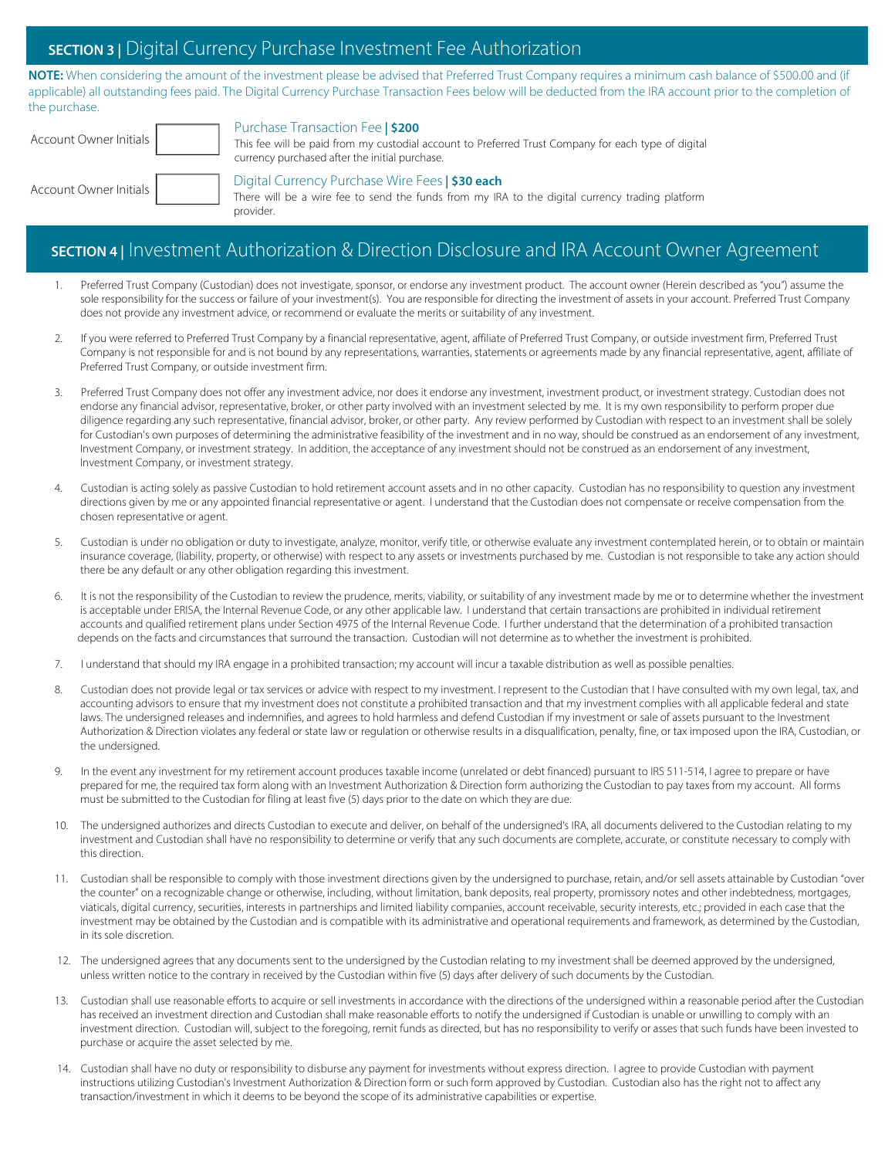## **SECTION 3 |** Digital Currency Purchase Investment Fee Authorization

**NOTE:** When considering the amount of the investment please be advised that Preferred Trust Company requires a minimum cash balance of \$500.00 and (if applicable) all outstanding fees paid. The Digital Currency Purchase Transaction Fees below will be deducted from the IRA account prior to the completion of the purchase.

| Account Owner Initials | Purchase Transaction Fee   \$200<br>This fee will be paid from my custodial account to Preferred Trust Company for each type of digital<br>currency purchased after the initial purchase. |
|------------------------|-------------------------------------------------------------------------------------------------------------------------------------------------------------------------------------------|
| Account Owner Initials | Digital Currency Purchase Wire Fees   \$30 each<br>There will be a wire fee to send the funds from my IRA to the digital currency trading platform<br>provider.                           |

## **SECTION 4 |** Investment Authorization & Direction Disclosure and IRA Account Owner Agreement

- 1. Preferred Trust Company (Custodian) does not investigate, sponsor, or endorse any investment product. The account owner (Herein described as "you") assume the sole responsibility for the success or failure of your investment(s). You are responsible for directing the investment of assets in your account. Preferred Trust Company does not provide any investment advice, or recommend or evaluate the merits or suitability of any investment.
- 2. If you were referred to Preferred Trust Company by a financial representative, agent, affiliate of Preferred Trust Company, or outside investment firm, Preferred Trust Company is not responsible for and is not bound by any representations, warranties, statements or agreements made by any financial representative, agent, affiliate of Preferred Trust Company, or outside investment firm.
- Preferred Trust Company does not offer any investment advice, nor does it endorse any investment, investment product, or investment strategy. Custodian does not endorse any financial advisor, representative, broker, or other party involved with an investment selected by me. It is my own responsibility to perform proper due diligence regarding any such representative, financial advisor, broker, or other party. Any review performed by Custodian with respect to an investment shall be solely for Custodian's own purposes of determining the administrative feasibility of the investment and in no way, should be construed as an endorsement of any investment, Investment Company, or investment strategy. In addition, the acceptance of any investment should not be construed as an endorsement of any investment, Investment Company, or investment strategy.
- 4. Custodian is acting solely as passive Custodian to hold retirement account assets and in no other capacity. Custodian has no responsibility to question any investment directions given by me or any appointed financial representative or agent. I understand that the Custodian does not compensate or receive compensation from the chosen representative or agent.
- 5. Custodian is under no obligation or duty to investigate, analyze, monitor, verify title, or otherwise evaluate any investment contemplated herein, or to obtain or maintain insurance coverage, (liability, property, or otherwise) with respect to any assets or investments purchased by me. Custodian is not responsible to take any action should there be any default or any other obligation regarding this investment.
- 6. It is not the responsibility of the Custodian to review the prudence, merits, viability, or suitability of any investment made by me or to determine whether the investment is acceptable under ERISA, the Internal Revenue Code, or any other applicable law. I understand that certain transactions are prohibited in individual retirement accounts and qualified retirement plans under Section 4975 of the Internal Revenue Code. I further understand that the determination of a prohibited transaction depends on the facts and circumstances that surround the transaction. Custodian will not determine as to whether the investment is prohibited.
- 7. I understand that should my IRA engage in a prohibited transaction; my account will incur a taxable distribution as well as possible penalties.
- 8. Custodian does not provide legal or tax services or advice with respect to my investment. I represent to the Custodian that I have consulted with my own legal, tax, and accounting advisors to ensure that my investment does not constitute a prohibited transaction and that my investment complies with all applicable federal and state laws. The undersigned releases and indemnifies, and agrees to hold harmless and defend Custodian if my investment or sale of assets pursuant to the Investment Authorization & Direction violates any federal or state law or regulation or otherwise results in a disqualification, penalty, fine, or tax imposed upon the IRA, Custodian, or the undersigned.
- 9. In the event any investment for my retirement account produces taxable income (unrelated or debt financed) pursuant to IRS 511-514, I agree to prepare or have prepared for me, the required tax form along with an Investment Authorization & Direction form authorizing the Custodian to pay taxes from my account. All forms must be submitted to the Custodian for filing at least five (5) days prior to the date on which they are due.
- 10. The undersigned authorizes and directs Custodian to execute and deliver, on behalf of the undersigned's IRA, all documents delivered to the Custodian relating to my investment and Custodian shall have no responsibility to determine or verify that any such documents are complete, accurate, or constitute necessary to comply with this direction.
- 11. Custodian shall be responsible to comply with those investment directions given by the undersigned to purchase, retain, and/or sell assets attainable by Custodian "over the counter" on a recognizable change or otherwise, including, without limitation, bank deposits, real property, promissory notes and other indebtedness, mortgages, viaticals, digital currency, securities, interests in partnerships and limited liability companies, account receivable, security interests, etc.; provided in each case that the investment may be obtained by the Custodian and is compatible with its administrative and operational requirements and framework, as determined by the Custodian, in its sole discretion.
- 12. The undersigned agrees that any documents sent to the undersigned by the Custodian relating to my investment shall be deemed approved by the undersigned, unless written notice to the contrary in received by the Custodian within five (5) days after delivery of such documents by the Custodian.
- 13. Custodian shall use reasonable efforts to acquire or sell investments in accordance with the directions of the undersigned within a reasonable period after the Custodian has received an investment direction and Custodian shall make reasonable efforts to notify the undersigned if Custodian is unable or unwilling to comply with an investment direction. Custodian will, subject to the foregoing, remit funds as directed, but has no responsibility to verify or asses that such funds have been invested to purchase or acquire the asset selected by me.
- 14. Custodian shall have no duty or responsibility to disburse any payment for investments without express direction. I agree to provide Custodian with payment instructions utilizing Custodian's Investment Authorization & Direction form or such form approved by Custodian. Custodian also has the right not to affect any transaction/investment in which it deems to be beyond the scope of its administrative capabilities or expertise.